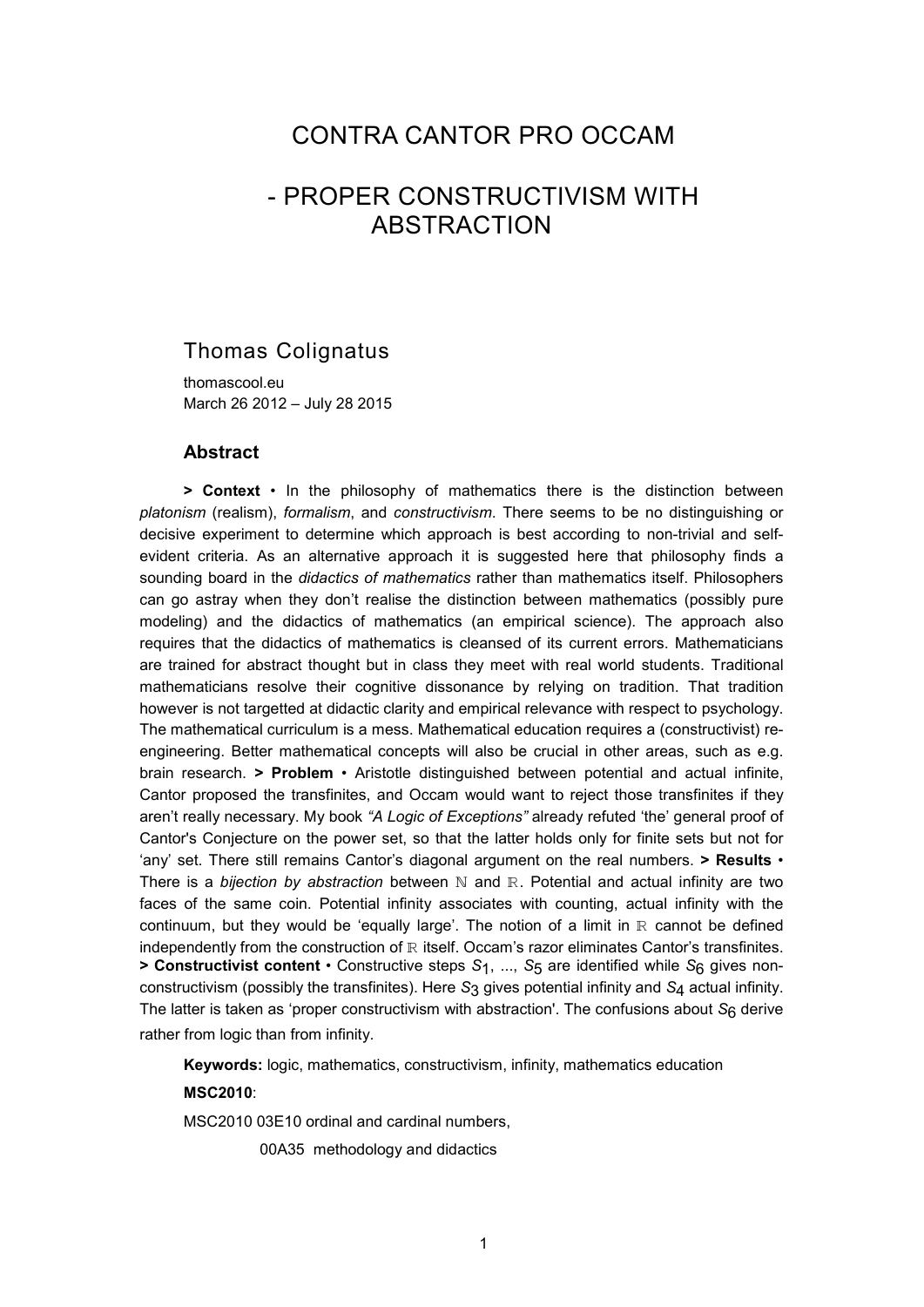## CONTRA CANTOR PRO OCCAM

# - PROPER CONSTRUCTIVISM WITH ABSTRACTION

## Thomas Colignatus

thomascool.eu March 26 2012 – July 28 2015

#### **Abstract**

**> Context** • In the philosophy of mathematics there is the distinction between *platonism* (realism), *formalism*, and *constructivism*. There seems to be no distinguishing or decisive experiment to determine which approach is best according to non-trivial and selfevident criteria. As an alternative approach it is suggested here that philosophy finds a sounding board in the *didactics of mathematics* rather than mathematics itself. Philosophers can go astray when they don't realise the distinction between mathematics (possibly pure modeling) and the didactics of mathematics (an empirical science). The approach also requires that the didactics of mathematics is cleansed of its current errors. Mathematicians are trained for abstract thought but in class they meet with real world students. Traditional mathematicians resolve their cognitive dissonance by relying on tradition. That tradition however is not targetted at didactic clarity and empirical relevance with respect to psychology. The mathematical curriculum is a mess. Mathematical education requires a (constructivist) reengineering. Better mathematical concepts will also be crucial in other areas, such as e.g. brain research. **> Problem** • Aristotle distinguished between potential and actual infinite, Cantor proposed the transfinites, and Occam would want to reject those transfinites if they aren't really necessary. My book *"A Logic of Exceptions"* already refuted 'the' general proof of Cantor's Conjecture on the power set, so that the latter holds only for finite sets but not for 'any' set. There still remains Cantor's diagonal argument on the real numbers. **> Results** • There is a *bijection by abstraction* between N and R. Potential and actual infinity are two faces of the same coin. Potential infinity associates with counting, actual infinity with the continuum, but they would be 'equally large'. The notion of a limit in  $\mathbb R$  cannot be defined independently from the construction of  $\mathbb R$  itself. Occam's razor eliminates Cantor's transfinites. **> Constructivist content** • Constructive steps *S*1, ..., *S*5 are identified while *S*6 gives nonconstructivism (possibly the transfinites). Here *S*3 gives potential infinity and *S*4 actual infinity. The latter is taken as 'proper constructivism with abstraction'. The confusions about *S*6 derive rather from logic than from infinity.

**Keywords:** logic, mathematics, constructivism, infinity, mathematics education

#### **MSC2010**:

MSC2010 03E10 ordinal and cardinal numbers,

00A35 methodology and didactics